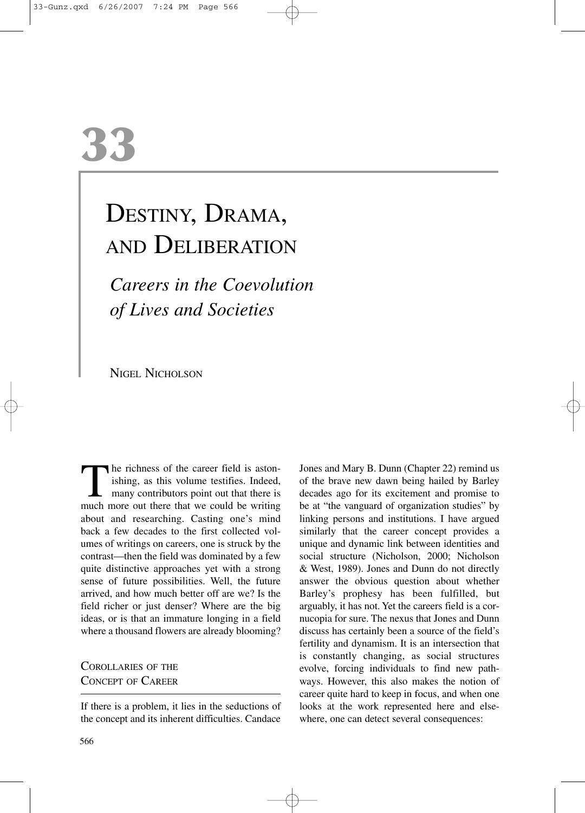# **33**

# DESTINY, DRAMA, AND DELIBERATION

*Careers in the Coevolution of Lives and Societies*

NIGEL NICHOLSON

The richness of the career field is astonishing, as this volume testifies. Indeed, many contributors point out that there is much more out there that we could be writing about and researching. Casting one's mind back a few decades to the first collected volumes of writings on careers, one is struck by the contrast—then the field was dominated by a few quite distinctive approaches yet with a strong sense of future possibilities. Well, the future arrived, and how much better off are we? Is the field richer or just denser? Where are the big ideas, or is that an immature longing in a field where a thousand flowers are already blooming?

COROLLARIES OF THE CONCEPT OF CAREER

If there is a problem, it lies in the seductions of the concept and its inherent difficulties. Candace

Jones and Mary B. Dunn (Chapter 22) remind us of the brave new dawn being hailed by Barley decades ago for its excitement and promise to be at "the vanguard of organization studies" by linking persons and institutions. I have argued similarly that the career concept provides a unique and dynamic link between identities and social structure (Nicholson, 2000; Nicholson & West, 1989). Jones and Dunn do not directly answer the obvious question about whether Barley's prophesy has been fulfilled, but arguably, it has not. Yet the careers field is a cornucopia for sure. The nexus that Jones and Dunn discuss has certainly been a source of the field's fertility and dynamism. It is an intersection that is constantly changing, as social structures evolve, forcing individuals to find new pathways. However, this also makes the notion of career quite hard to keep in focus, and when one looks at the work represented here and elsewhere, one can detect several consequences: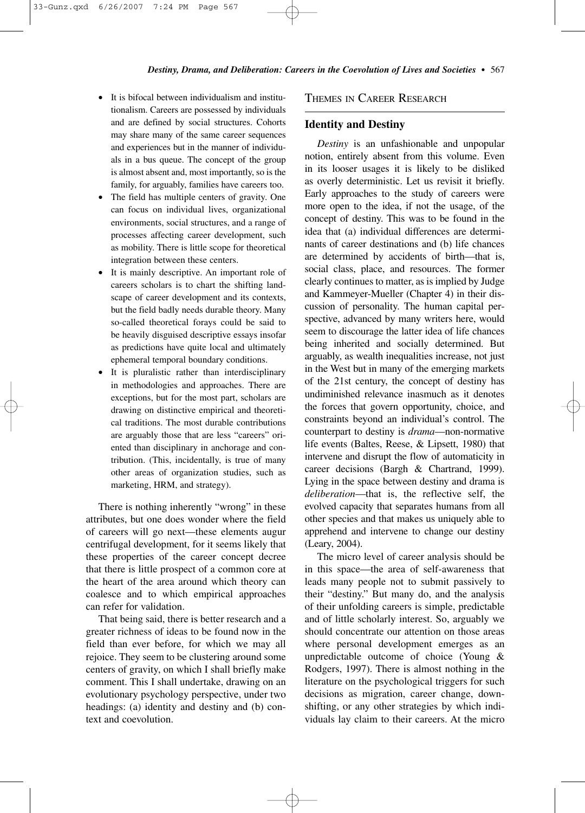- It is bifocal between individualism and institutionalism. Careers are possessed by individuals and are defined by social structures. Cohorts may share many of the same career sequences and experiences but in the manner of individuals in a bus queue. The concept of the group is almost absent and, most importantly, so is the family, for arguably, families have careers too.
- The field has multiple centers of gravity. One can focus on individual lives, organizational environments, social structures, and a range of processes affecting career development, such as mobility. There is little scope for theoretical integration between these centers.
- It is mainly descriptive. An important role of careers scholars is to chart the shifting landscape of career development and its contexts, but the field badly needs durable theory. Many so-called theoretical forays could be said to be heavily disguised descriptive essays insofar as predictions have quite local and ultimately ephemeral temporal boundary conditions.
- It is pluralistic rather than interdisciplinary in methodologies and approaches. There are exceptions, but for the most part, scholars are drawing on distinctive empirical and theoretical traditions. The most durable contributions are arguably those that are less "careers" oriented than disciplinary in anchorage and contribution. (This, incidentally, is true of many other areas of organization studies, such as marketing, HRM, and strategy).

There is nothing inherently "wrong" in these attributes, but one does wonder where the field of careers will go next—these elements augur centrifugal development, for it seems likely that these properties of the career concept decree that there is little prospect of a common core at the heart of the area around which theory can coalesce and to which empirical approaches can refer for validation.

That being said, there is better research and a greater richness of ideas to be found now in the field than ever before, for which we may all rejoice. They seem to be clustering around some centers of gravity, on which I shall briefly make comment. This I shall undertake, drawing on an evolutionary psychology perspective, under two headings: (a) identity and destiny and (b) context and coevolution.

THEMES IN CAREER RESEARCH

# **Identity and Destiny**

*Destiny* is an unfashionable and unpopular notion, entirely absent from this volume. Even in its looser usages it is likely to be disliked as overly deterministic. Let us revisit it briefly. Early approaches to the study of careers were more open to the idea, if not the usage, of the concept of destiny. This was to be found in the idea that (a) individual differences are determinants of career destinations and (b) life chances are determined by accidents of birth—that is, social class, place, and resources. The former clearly continues to matter, as is implied by Judge and Kammeyer-Mueller (Chapter 4) in their discussion of personality. The human capital perspective, advanced by many writers here, would seem to discourage the latter idea of life chances being inherited and socially determined. But arguably, as wealth inequalities increase, not just in the West but in many of the emerging markets of the 21st century, the concept of destiny has undiminished relevance inasmuch as it denotes the forces that govern opportunity, choice, and constraints beyond an individual's control. The counterpart to destiny is *drama*—non-normative life events (Baltes, Reese, & Lipsett, 1980) that intervene and disrupt the flow of automaticity in career decisions (Bargh & Chartrand, 1999). Lying in the space between destiny and drama is *deliberation*—that is, the reflective self, the evolved capacity that separates humans from all other species and that makes us uniquely able to apprehend and intervene to change our destiny (Leary, 2004).

The micro level of career analysis should be in this space—the area of self-awareness that leads many people not to submit passively to their "destiny." But many do, and the analysis of their unfolding careers is simple, predictable and of little scholarly interest. So, arguably we should concentrate our attention on those areas where personal development emerges as an unpredictable outcome of choice (Young & Rodgers, 1997). There is almost nothing in the literature on the psychological triggers for such decisions as migration, career change, downshifting, or any other strategies by which individuals lay claim to their careers. At the micro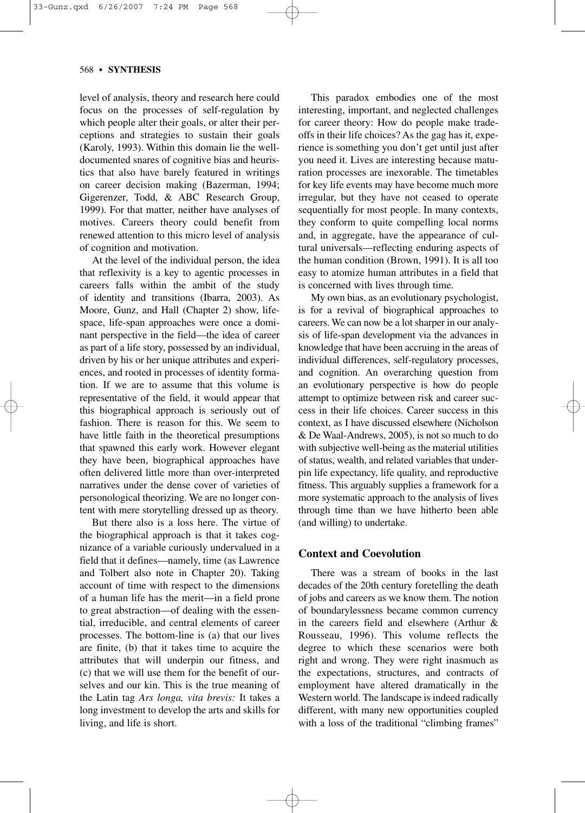#### 568–•–**SYNTHESIS**

level of analysis, theory and research here could focus on the processes of self-regulation by which people alter their goals, or alter their perceptions and strategies to sustain their goals (Karoly, 1993). Within this domain lie the welldocumented snares of cognitive bias and heuristics that also have barely featured in writings on career decision making (Bazerman, 1994; Gigerenzer, Todd, & ABC Research Group, 1999). For that matter, neither have analyses of motives. Careers theory could benefit from renewed attention to this micro level of analysis of cognition and motivation.

At the level of the individual person, the idea that reflexivity is a key to agentic processes in careers falls within the ambit of the study of identity and transitions (Ibarra, 2003). As Moore, Gunz, and Hall (Chapter 2) show, lifespace, life-span approaches were once a dominant perspective in the field—the idea of career as part of a life story, possessed by an individual, driven by his or her unique attributes and experiences, and rooted in processes of identity formation. If we are to assume that this volume is representative of the field, it would appear that this biographical approach is seriously out of fashion. There is reason for this. We seem to have little faith in the theoretical presumptions that spawned this early work. However elegant they have been, biographical approaches have often delivered little more than over-interpreted narratives under the dense cover of varieties of personological theorizing. We are no longer content with mere storytelling dressed up as theory.

But there also is a loss here. The virtue of the biographical approach is that it takes cognizance of a variable curiously undervalued in a field that it defines—namely, time (as Lawrence and Tolbert also note in Chapter 20). Taking account of time with respect to the dimensions of a human life has the merit—in a field prone to great abstraction—of dealing with the essential, irreducible, and central elements of career processes. The bottom-line is (a) that our lives are finite, (b) that it takes time to acquire the attributes that will underpin our fitness, and (c) that we will use them for the benefit of ourselves and our kin. This is the true meaning of the Latin tag *Ars longa, vita brevis:* It takes a long investment to develop the arts and skills for living, and life is short.

This paradox embodies one of the most interesting, important, and neglected challenges for career theory: How do people make tradeoffs in their life choices? As the gag has it, experience is something you don't get until just after you need it. Lives are interesting because maturation processes are inexorable. The timetables for key life events may have become much more irregular, but they have not ceased to operate sequentially for most people. In many contexts, they conform to quite compelling local norms and, in aggregate, have the appearance of cultural universals—reflecting enduring aspects of the human condition (Brown, 1991). It is all too easy to atomize human attributes in a field that is concerned with lives through time.

My own bias, as an evolutionary psychologist, is for a revival of biographical approaches to careers. We can now be a lot sharper in our analysis of life-span development via the advances in knowledge that have been accruing in the areas of individual differences, self-regulatory processes, and cognition. An overarching question from an evolutionary perspective is how do people attempt to optimize between risk and career success in their life choices. Career success in this context, as I have discussed elsewhere (Nicholson & De Waal-Andrews, 2005), is not so much to do with subjective well-being as the material utilities of status, wealth, and related variables that underpin life expectancy, life quality, and reproductive fitness. This arguably supplies a framework for a more systematic approach to the analysis of lives through time than we have hitherto been able (and willing) to undertake.

# **Context and Coevolution**

There was a stream of books in the last decades of the 20th century foretelling the death of jobs and careers as we know them. The notion of boundarylessness became common currency in the careers field and elsewhere (Arthur & Rousseau, 1996). This volume reflects the degree to which these scenarios were both right and wrong. They were right inasmuch as the expectations, structures, and contracts of employment have altered dramatically in the Western world. The landscape is indeed radically different, with many new opportunities coupled with a loss of the traditional "climbing frames"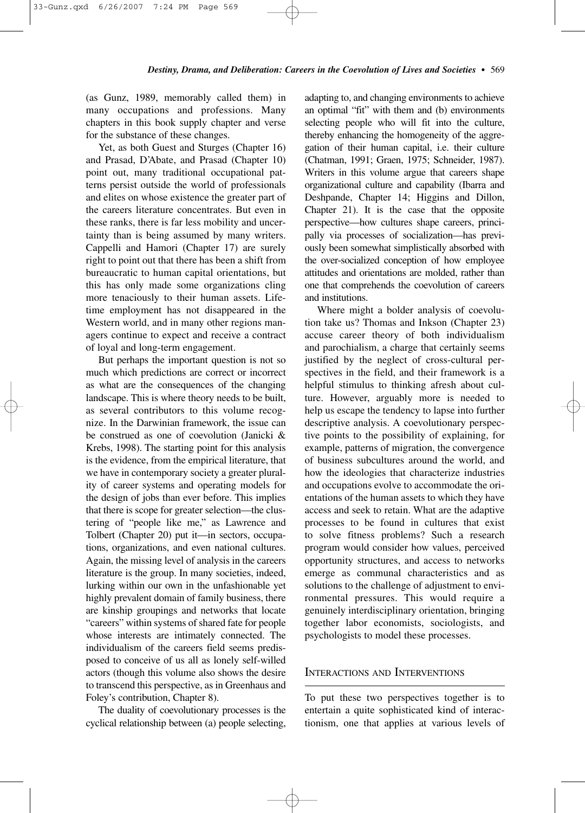### *Destiny, Drama, and Deliberation: Careers in the Coevolution of Lives and Societies*–•–569

(as Gunz, 1989, memorably called them) in many occupations and professions. Many chapters in this book supply chapter and verse for the substance of these changes.

Yet, as both Guest and Sturges (Chapter 16) and Prasad, D'Abate, and Prasad (Chapter 10) point out, many traditional occupational patterns persist outside the world of professionals and elites on whose existence the greater part of the careers literature concentrates. But even in these ranks, there is far less mobility and uncertainty than is being assumed by many writers. Cappelli and Hamori (Chapter 17) are surely right to point out that there has been a shift from bureaucratic to human capital orientations, but this has only made some organizations cling more tenaciously to their human assets. Lifetime employment has not disappeared in the Western world, and in many other regions managers continue to expect and receive a contract of loyal and long-term engagement.

But perhaps the important question is not so much which predictions are correct or incorrect as what are the consequences of the changing landscape. This is where theory needs to be built, as several contributors to this volume recognize. In the Darwinian framework, the issue can be construed as one of coevolution (Janicki & Krebs, 1998). The starting point for this analysis is the evidence, from the empirical literature, that we have in contemporary society a greater plurality of career systems and operating models for the design of jobs than ever before. This implies that there is scope for greater selection—the clustering of "people like me," as Lawrence and Tolbert (Chapter 20) put it—in sectors, occupations, organizations, and even national cultures. Again, the missing level of analysis in the careers literature is the group. In many societies, indeed, lurking within our own in the unfashionable yet highly prevalent domain of family business, there are kinship groupings and networks that locate "careers" within systems of shared fate for people whose interests are intimately connected. The individualism of the careers field seems predisposed to conceive of us all as lonely self-willed actors (though this volume also shows the desire to transcend this perspective, as in Greenhaus and Foley's contribution, Chapter 8).

The duality of coevolutionary processes is the cyclical relationship between (a) people selecting,

adapting to, and changing environments to achieve an optimal "fit" with them and (b) environments selecting people who will fit into the culture, thereby enhancing the homogeneity of the aggregation of their human capital, i.e. their culture (Chatman, 1991; Graen, 1975; Schneider, 1987). Writers in this volume argue that careers shape organizational culture and capability (Ibarra and Deshpande, Chapter 14; Higgins and Dillon, Chapter 21). It is the case that the opposite perspective—how cultures shape careers, principally via processes of socialization—has previously been somewhat simplistically absorbed with the over-socialized conception of how employee attitudes and orientations are molded, rather than one that comprehends the coevolution of careers and institutions.

Where might a bolder analysis of coevolution take us? Thomas and Inkson (Chapter 23) accuse career theory of both individualism and parochialism, a charge that certainly seems justified by the neglect of cross-cultural perspectives in the field, and their framework is a helpful stimulus to thinking afresh about culture. However, arguably more is needed to help us escape the tendency to lapse into further descriptive analysis. A coevolutionary perspective points to the possibility of explaining, for example, patterns of migration, the convergence of business subcultures around the world, and how the ideologies that characterize industries and occupations evolve to accommodate the orientations of the human assets to which they have access and seek to retain. What are the adaptive processes to be found in cultures that exist to solve fitness problems? Such a research program would consider how values, perceived opportunity structures, and access to networks emerge as communal characteristics and as solutions to the challenge of adjustment to environmental pressures. This would require a genuinely interdisciplinary orientation, bringing together labor economists, sociologists, and psychologists to model these processes.

# INTERACTIONS AND INTERVENTIONS

To put these two perspectives together is to entertain a quite sophisticated kind of interactionism, one that applies at various levels of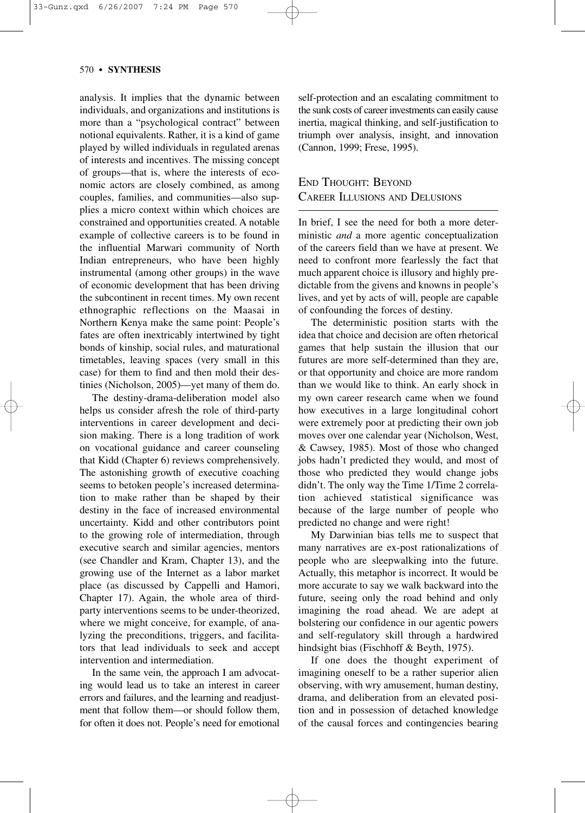# 570–•–**SYNTHESIS**

analysis. It implies that the dynamic between individuals, and organizations and institutions is more than a "psychological contract" between notional equivalents. Rather, it is a kind of game played by willed individuals in regulated arenas of interests and incentives. The missing concept of groups—that is, where the interests of economic actors are closely combined, as among couples, families, and communities—also supplies a micro context within which choices are constrained and opportunities created. A notable example of collective careers is to be found in the influential Marwari community of North Indian entrepreneurs, who have been highly instrumental (among other groups) in the wave of economic development that has been driving the subcontinent in recent times. My own recent ethnographic reflections on the Maasai in Northern Kenya make the same point: People's fates are often inextricably intertwined by tight bonds of kinship, social rules, and maturational timetables, leaving spaces (very small in this case) for them to find and then mold their destinies (Nicholson, 2005)—yet many of them do.

The destiny-drama-deliberation model also helps us consider afresh the role of third-party interventions in career development and decision making. There is a long tradition of work on vocational guidance and career counseling that Kidd (Chapter 6) reviews comprehensively. The astonishing growth of executive coaching seems to betoken people's increased determination to make rather than be shaped by their destiny in the face of increased environmental uncertainty. Kidd and other contributors point to the growing role of intermediation, through executive search and similar agencies, mentors (see Chandler and Kram, Chapter 13), and the growing use of the Internet as a labor market place (as discussed by Cappelli and Hamori, Chapter 17). Again, the whole area of thirdparty interventions seems to be under-theorized, where we might conceive, for example, of analyzing the preconditions, triggers, and facilitators that lead individuals to seek and accept intervention and intermediation.

In the same vein, the approach I am advocating would lead us to take an interest in career errors and failures, and the learning and readjustment that follow them—or should follow them, for often it does not. People's need for emotional self-protection and an escalating commitment to the sunk costs of career investments can easily cause inertia, magical thinking, and self-justification to triumph over analysis, insight, and innovation (Cannon, 1999; Frese, 1995).

# END THOUGHT: BEYOND CAREER ILLUSIONS AND DELUSIONS

In brief, I see the need for both a more deterministic *and* a more agentic conceptualization of the careers field than we have at present. We need to confront more fearlessly the fact that much apparent choice is illusory and highly predictable from the givens and knowns in people's lives, and yet by acts of will, people are capable of confounding the forces of destiny.

The deterministic position starts with the idea that choice and decision are often rhetorical games that help sustain the illusion that our futures are more self-determined than they are, or that opportunity and choice are more random than we would like to think. An early shock in my own career research came when we found how executives in a large longitudinal cohort were extremely poor at predicting their own job moves over one calendar year (Nicholson, West, & Cawsey, 1985). Most of those who changed jobs hadn't predicted they would, and most of those who predicted they would change jobs didn't. The only way the Time 1/Time 2 correlation achieved statistical significance was because of the large number of people who predicted no change and were right!

My Darwinian bias tells me to suspect that many narratives are ex-post rationalizations of people who are sleepwalking into the future. Actually, this metaphor is incorrect. It would be more accurate to say we walk backward into the future, seeing only the road behind and only imagining the road ahead. We are adept at bolstering our confidence in our agentic powers and self-regulatory skill through a hardwired hindsight bias (Fischhoff & Beyth, 1975).

If one does the thought experiment of imagining oneself to be a rather superior alien observing, with wry amusement, human destiny, drama, and deliberation from an elevated position and in possession of detached knowledge of the causal forces and contingencies bearing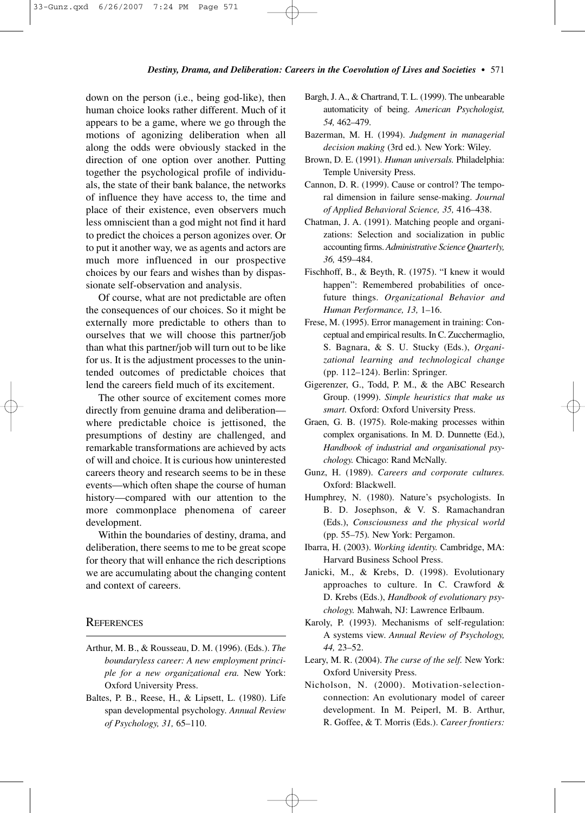## *Destiny, Drama, and Deliberation: Careers in the Coevolution of Lives and Societies*–•–571

down on the person (i.e., being god-like), then human choice looks rather different. Much of it appears to be a game, where we go through the motions of agonizing deliberation when all along the odds were obviously stacked in the direction of one option over another. Putting together the psychological profile of individuals, the state of their bank balance, the networks of influence they have access to, the time and place of their existence, even observers much less omniscient than a god might not find it hard to predict the choices a person agonizes over. Or to put it another way, we as agents and actors are much more influenced in our prospective choices by our fears and wishes than by dispassionate self-observation and analysis.

Of course, what are not predictable are often the consequences of our choices. So it might be externally more predictable to others than to ourselves that we will choose this partner/job than what this partner/job will turn out to be like for us. It is the adjustment processes to the unintended outcomes of predictable choices that lend the careers field much of its excitement.

The other source of excitement comes more directly from genuine drama and deliberation where predictable choice is jettisoned, the presumptions of destiny are challenged, and remarkable transformations are achieved by acts of will and choice. It is curious how uninterested careers theory and research seems to be in these events—which often shape the course of human history—compared with our attention to the more commonplace phenomena of career development.

Within the boundaries of destiny, drama, and deliberation, there seems to me to be great scope for theory that will enhance the rich descriptions we are accumulating about the changing content and context of careers.

# **REFERENCES**

- Arthur, M. B., & Rousseau, D. M. (1996). (Eds.). *The boundaryless career: A new employment principle for a new organizational era.* New York: Oxford University Press.
- Baltes, P. B., Reese, H., & Lipsett, L. (1980). Life span developmental psychology. *Annual Review of Psychology, 31,* 65–110.
- Bargh, J. A., & Chartrand, T. L. (1999). The unbearable automaticity of being. *American Psychologist, 54,* 462–479.
- Bazerman, M. H. (1994). *Judgment in managerial decision making* (3rd ed.)*.* New York: Wiley.
- Brown, D. E. (1991). *Human universals.* Philadelphia: Temple University Press.
- Cannon, D. R. (1999). Cause or control? The temporal dimension in failure sense-making. *Journal of Applied Behavioral Science, 35,* 416–438.
- Chatman, J. A. (1991). Matching people and organizations: Selection and socialization in public accounting firms. *Administrative Science Quarterly, 36,* 459–484.
- Fischhoff, B., & Beyth, R. (1975). "I knew it would happen": Remembered probabilities of oncefuture things. *Organizational Behavior and Human Performance, 13,* 1–16.
- Frese, M. (1995). Error management in training: Conceptual and empirical results. In C. Zucchermaglio, S. Bagnara, & S. U. Stucky (Eds.), *Organizational learning and technological change* (pp. 112–124). Berlin: Springer.
- Gigerenzer, G., Todd, P. M., & the ABC Research Group. (1999). *Simple heuristics that make us smart.* Oxford: Oxford University Press.
- Graen, G. B. (1975). Role-making processes within complex organisations. In M. D. Dunnette (Ed.), *Handbook of industrial and organisational psychology.* Chicago: Rand McNally.
- Gunz, H. (1989). *Careers and corporate cultures.* Oxford: Blackwell.
- Humphrey, N. (1980). Nature's psychologists. In B. D. Josephson, & V. S. Ramachandran (Eds.), *Consciousness and the physical world* (pp. 55–75)*.* New York: Pergamon.
- Ibarra, H. (2003). *Working identity.* Cambridge, MA: Harvard Business School Press.
- Janicki, M., & Krebs, D. (1998). Evolutionary approaches to culture. In C. Crawford & D. Krebs (Eds.), *Handbook of evolutionary psychology.* Mahwah, NJ: Lawrence Erlbaum.
- Karoly, P. (1993). Mechanisms of self-regulation: A systems view. *Annual Review of Psychology, 44,* 23–52.
- Leary, M. R. (2004). *The curse of the self.* New York: Oxford University Press.
- Nicholson, N. (2000). Motivation-selectionconnection: An evolutionary model of career development. In M. Peiperl, M. B. Arthur, R. Goffee, & T. Morris (Eds.). *Career frontiers:*